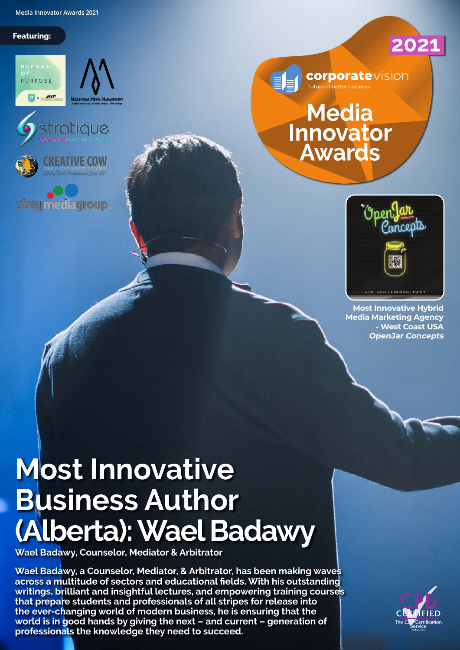**Media Innovator Awards 2021**

#### **Featuring:**









**straumediagroup** 



**corporate**vision and **Participal Contract**<br>Future of better business

#### **Media** Innovator **Awards**



2021

**Most Innovative Hybrid Media Marketing Agency - West Coast USA OpenJar Concepts**

### **Most Innovative Business Author (Alberta): Wael Badawy**

**Wael Badawy, Counselor, Mediator & Arbitrator**

**Wael Badawy, a Counselor, Mediator, & Arbitrator, has been making waves across a multitude of sectors and educational fields. With his outstanding writings, brilliant and insightful lectures, and empowering training courses that prepare students and professionals of all stripes for release into the ever-changing world of modern business, he is ensuring that the world is in good hands by giving the next – and current – generation of professionals the knowledge they need to succeed.**

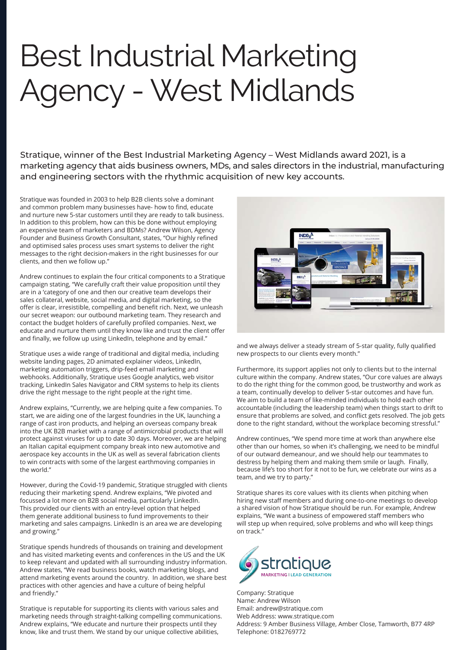## Best Industrial Marketing Agency - West Midlands

Stratique, winner of the Best Industrial Marketing Agency – West Midlands award 2021, is a marketing agency that aids business owners, MDs, and sales directors in the industrial, manufacturing and engineering sectors with the rhythmic acquisition of new key accounts.

Stratique was founded in 2003 to help B2B clients solve a dominant and common problem many businesses have- how to find, educate and nurture new 5-star customers until they are ready to talk business. In addition to this problem, how can this be done without employing an expensive team of marketers and BDMs? Andrew Wilson, Agency Founder and Business Growth Consultant, states, "Our highly refined and optimised sales process uses smart systems to deliver the right messages to the right decision-makers in the right businesses for our clients, and then we follow up."

Andrew continues to explain the four critical components to a Stratique campaign stating, "We carefully craft their value proposition until they are in a 'category of one and then our creative team develops their sales collateral, website, social media, and digital marketing, so the offer is clear, irresistible, compelling and benefit rich. Next, we unleash our secret weapon: our outbound marketing team. They research and contact the budget holders of carefully profiled companies. Next, we educate and nurture them until they know like and trust the client offer and finally, we follow up using LinkedIn, telephone and by email."

Stratique uses a wide range of traditional and digital media, including website landing pages, 2D animated explainer videos, LinkedIn, marketing automation triggers, drip-feed email marketing and webhooks. Additionally, Stratique uses Google analytics, web visitor tracking, LinkedIn Sales Navigator and CRM systems to help its clients drive the right message to the right people at the right time.

Andrew explains, "Currently, we are helping quite a few companies. To start, we are aiding one of the largest foundries in the UK, launching a range of cast iron products, and helping an overseas company break into the UK B2B market with a range of antimicrobial products that will protect against viruses for up to date 30 days. Moreover, we are helping an Italian capital equipment company break into new automotive and aerospace key accounts in the UK as well as several fabrication clients to win contracts with some of the largest earthmoving companies in the world."

However, during the Covid-19 pandemic, Stratique struggled with clients reducing their marketing spend. Andrew explains, "We pivoted and focussed a lot more on B2B social media, particularly LinkedIn. This provided our clients with an entry-level option that helped them generate additional business to fund improvements to their marketing and sales campaigns. LinkedIn is an area we are developing and growing."

Stratique spends hundreds of thousands on training and development and has visited marketing events and conferences in the US and the UK to keep relevant and updated with all surrounding industry information. Andrew states, "We read business books, watch marketing blogs, and attend marketing events around the country. In addition, we share best practices with other agencies and have a culture of being helpful and friendly."

Stratique is reputable for supporting its clients with various sales and marketing needs through straight-talking compelling communications. Andrew explains, "We educate and nurture their prospects until they know, like and trust them. We stand by our unique collective abilities,



and we always deliver a steady stream of 5-star quality, fully qualified new prospects to our clients every month."

Furthermore, its support applies not only to clients but to the internal culture within the company. Andrew states, "Our core values are always to do the right thing for the common good, be trustworthy and work as a team, continually develop to deliver 5-star outcomes and have fun. We aim to build a team of like-minded individuals to hold each other accountable (including the leadership team) when things start to drift to ensure that problems are solved, and conflict gets resolved. The job gets done to the right standard, without the workplace becoming stressful."

Andrew continues, "We spend more time at work than anywhere else other than our homes, so when it's challenging, we need to be mindful of our outward demeanour, and we should help our teammates to destress by helping them and making them smile or laugh. Finally, because life's too short for it not to be fun, we celebrate our wins as a team, and we try to party."

Stratique shares its core values with its clients when pitching when hiring new staff members and during one-to-one meetings to develop a shared vision of how Stratique should be run. For example, Andrew explains, "We want a business of empowered staff members who will step up when required, solve problems and who will keep things on track."



Company: Stratique Name: Andrew Wilson Email: andrew@stratique.com Web Address: www.stratique.com Address: 9 Amber Business Village, Amber Close, Tamworth, B77 4RP Telephone: 0182769772